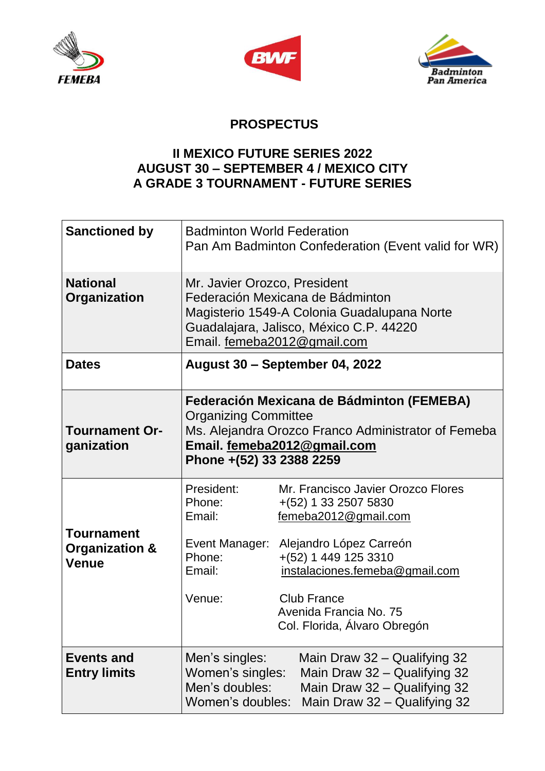





## **PROSPECTUS**

## **II MEXICO FUTURE SERIES 2022 AUGUST 30 – SEPTEMBER 4 / MEXICO CITY A GRADE 3 TOURNAMENT - FUTURE SERIES**

| <b>Sanctioned by</b>                                           | <b>Badminton World Federation</b>                                                                                                                                                          | Pan Am Badminton Confederation (Event valid for WR)                                                                                                                                                                                                         |
|----------------------------------------------------------------|--------------------------------------------------------------------------------------------------------------------------------------------------------------------------------------------|-------------------------------------------------------------------------------------------------------------------------------------------------------------------------------------------------------------------------------------------------------------|
| <b>National</b><br>Organization                                | Mr. Javier Orozco, President<br>Federación Mexicana de Bádminton<br>Magisterio 1549-A Colonia Guadalupana Norte<br>Guadalajara, Jalisco, México C.P. 44220<br>Email. femeba2012@gmail.com  |                                                                                                                                                                                                                                                             |
| <b>Dates</b>                                                   | August 30 - September 04, 2022                                                                                                                                                             |                                                                                                                                                                                                                                                             |
| <b>Tournament Or-</b><br>ganization                            | Federación Mexicana de Bádminton (FEMEBA)<br><b>Organizing Committee</b><br>Ms. Alejandra Orozco Franco Administrator of Femeba<br>Email. femeba2012@gmail.com<br>Phone +(52) 33 2388 2259 |                                                                                                                                                                                                                                                             |
| <b>Tournament</b><br><b>Organization &amp;</b><br><b>Venue</b> | President:<br>Phone:<br>Email:<br>Event Manager:<br>Phone:<br>Email:<br>Venue:                                                                                                             | Mr. Francisco Javier Orozco Flores<br>$+(52)$ 1 33 2507 5830<br>femeba2012@gmail.com<br>Alejandro López Carreón<br>$+(52)$ 1 449 125 3310<br>instalaciones.femeba@gmail.com<br><b>Club France</b><br>Avenida Francia No. 75<br>Col. Florida, Álvaro Obregón |
| <b>Events and</b><br><b>Entry limits</b>                       | Men's singles:<br>Women's singles:<br>Men's doubles:<br>Women's doubles:                                                                                                                   | Main Draw 32 – Qualifying 32<br>Main Draw 32 - Qualifying 32<br>Main Draw 32 - Qualifying 32<br>Main Draw 32 - Qualifying 32                                                                                                                                |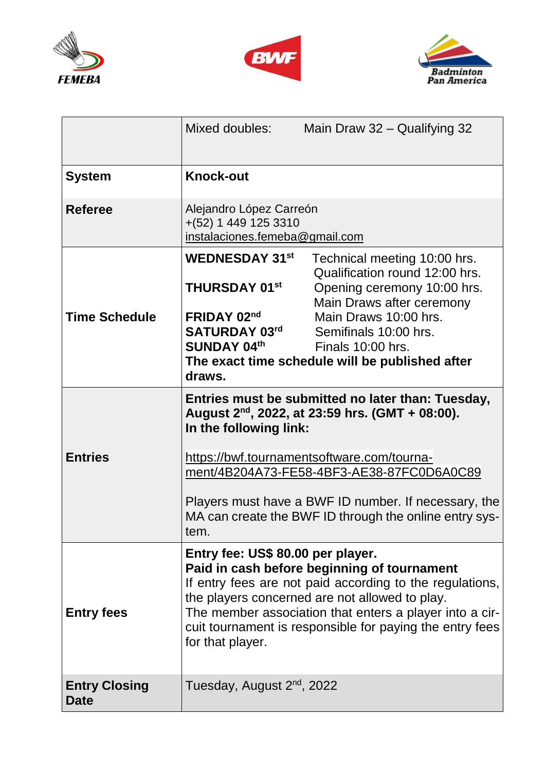





|                                     | Mixed doubles:                                                                                                                                                                                                                                                                                                                            | Main Draw 32 - Qualifying 32                                                                                                                                                                                                                                                                                           |
|-------------------------------------|-------------------------------------------------------------------------------------------------------------------------------------------------------------------------------------------------------------------------------------------------------------------------------------------------------------------------------------------|------------------------------------------------------------------------------------------------------------------------------------------------------------------------------------------------------------------------------------------------------------------------------------------------------------------------|
| <b>System</b>                       | <b>Knock-out</b>                                                                                                                                                                                                                                                                                                                          |                                                                                                                                                                                                                                                                                                                        |
| <b>Referee</b>                      | Alejandro López Carreón<br>$+(52)$ 1 449 125 3310<br>instalaciones.femeba@gmail.com                                                                                                                                                                                                                                                       |                                                                                                                                                                                                                                                                                                                        |
| <b>Time Schedule</b>                | <b>WEDNESDAY 31st</b><br><b>THURSDAY 01st</b><br>FRIDAY 02nd<br>SATURDAY 03 <sup>rd</sup><br><b>SUNDAY 04th</b><br>draws.                                                                                                                                                                                                                 | Technical meeting 10:00 hrs.<br>Qualification round 12:00 hrs.<br>Opening ceremony 10:00 hrs.<br>Main Draws after ceremony<br>Main Draws 10:00 hrs.<br>Semifinals 10:00 hrs.<br>Finals 10:00 hrs.<br>The exact time schedule will be published after                                                                   |
| <b>Entries</b>                      | In the following link:<br>tem.                                                                                                                                                                                                                                                                                                            | Entries must be submitted no later than: Tuesday,<br>August $2^{nd}$ , 2022, at 23:59 hrs. (GMT + 08:00).<br>https://bwf.tournamentsoftware.com/tourna-<br>ment/4B204A73-FE58-4BF3-AE38-87FC0D6A0C89<br>Players must have a BWF ID number. If necessary, the<br>MA can create the BWF ID through the online entry sys- |
| <b>Entry fees</b>                   | Entry fee: US\$ 80.00 per player.<br>Paid in cash before beginning of tournament<br>If entry fees are not paid according to the regulations,<br>the players concerned are not allowed to play.<br>The member association that enters a player into a cir-<br>cuit tournament is responsible for paying the entry fees<br>for that player. |                                                                                                                                                                                                                                                                                                                        |
| <b>Entry Closing</b><br><b>Date</b> | Tuesday, August 2 <sup>nd</sup> , 2022                                                                                                                                                                                                                                                                                                    |                                                                                                                                                                                                                                                                                                                        |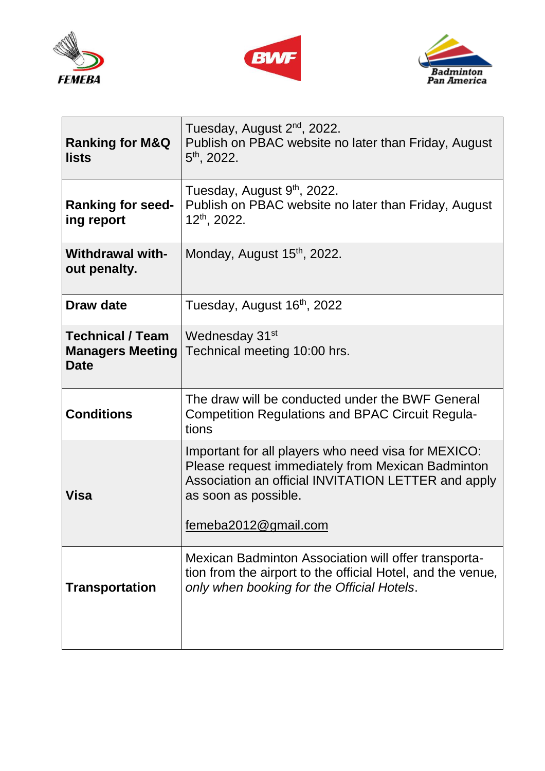





| <b>Ranking for M&amp;Q</b><br><b>lists</b>                        | Tuesday, August 2 <sup>nd</sup> , 2022.<br>Publish on PBAC website no later than Friday, August<br>$5th$ , 2022.                                                                                                |  |  |
|-------------------------------------------------------------------|-----------------------------------------------------------------------------------------------------------------------------------------------------------------------------------------------------------------|--|--|
| <b>Ranking for seed-</b><br>ing report                            | Tuesday, August 9th, 2022.<br>Publish on PBAC website no later than Friday, August<br>$12^{th}$ , 2022.                                                                                                         |  |  |
| <b>Withdrawal with-</b><br>out penalty.                           | Monday, August 15 <sup>th</sup> , 2022.                                                                                                                                                                         |  |  |
| Draw date                                                         | Tuesday, August 16 <sup>th</sup> , 2022                                                                                                                                                                         |  |  |
| <b>Technical / Team</b><br><b>Managers Meeting</b><br><b>Date</b> | Wednesday 31 <sup>st</sup><br>Technical meeting 10:00 hrs.                                                                                                                                                      |  |  |
| <b>Conditions</b>                                                 | The draw will be conducted under the BWF General<br><b>Competition Regulations and BPAC Circuit Regula-</b><br>tions                                                                                            |  |  |
| Visa                                                              | Important for all players who need visa for MEXICO:<br>Please request immediately from Mexican Badminton<br>Association an official INVITATION LETTER and apply<br>as soon as possible.<br>femeba2012@gmail.com |  |  |
| <b>Transportation</b>                                             | Mexican Badminton Association will offer transporta-<br>tion from the airport to the official Hotel, and the venue,<br>only when booking for the Official Hotels.                                               |  |  |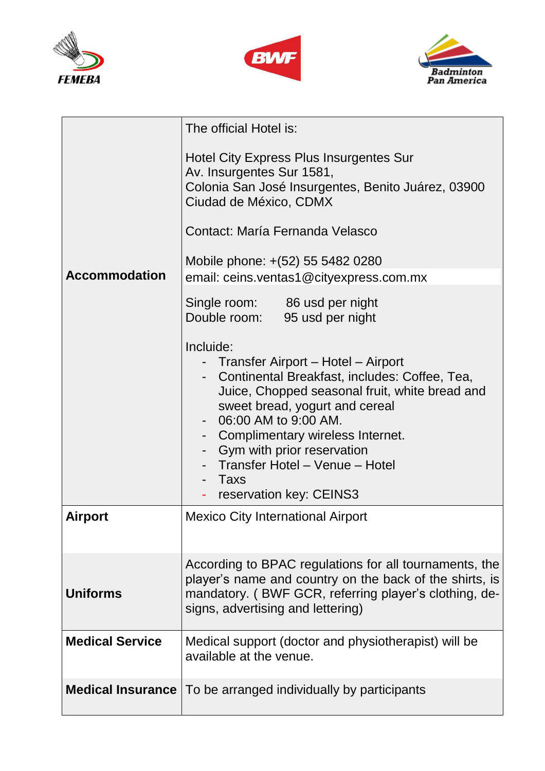





|                        | The official Hotel is:                                                                                                                                                                                                                                                                                                                                                             |  |
|------------------------|------------------------------------------------------------------------------------------------------------------------------------------------------------------------------------------------------------------------------------------------------------------------------------------------------------------------------------------------------------------------------------|--|
| <b>Accommodation</b>   | Hotel City Express Plus Insurgentes Sur<br>Av. Insurgentes Sur 1581,<br>Colonia San José Insurgentes, Benito Juárez, 03900<br>Ciudad de México, CDMX<br>Contact: María Fernanda Velasco<br>Mobile phone: +(52) 55 5482 0280                                                                                                                                                        |  |
|                        | email: ceins.ventas1@cityexpress.com.mx                                                                                                                                                                                                                                                                                                                                            |  |
|                        | Single room: 86 usd per night<br>Double room: 95 usd per night                                                                                                                                                                                                                                                                                                                     |  |
|                        | Incluide:<br>- Transfer Airport – Hotel – Airport<br>- Continental Breakfast, includes: Coffee, Tea,<br>Juice, Chopped seasonal fruit, white bread and<br>sweet bread, yogurt and cereal<br>06:00 AM to 9:00 AM.<br>- Complimentary wireless Internet.<br>Gym with prior reservation<br>- Transfer Hotel - Venue - Hotel<br>Taxs<br>$\blacksquare$<br>reservation key: CEINS3<br>٠ |  |
| <b>Airport</b>         | <b>Mexico City International Airport</b>                                                                                                                                                                                                                                                                                                                                           |  |
| <b>Uniforms</b>        | According to BPAC regulations for all tournaments, the<br>player's name and country on the back of the shirts, is<br>mandatory. (BWF GCR, referring player's clothing, de-<br>signs, advertising and lettering)                                                                                                                                                                    |  |
| <b>Medical Service</b> | Medical support (doctor and physiotherapist) will be<br>available at the venue.                                                                                                                                                                                                                                                                                                    |  |
|                        | <b>Medical Insurance</b>   To be arranged individually by participants                                                                                                                                                                                                                                                                                                             |  |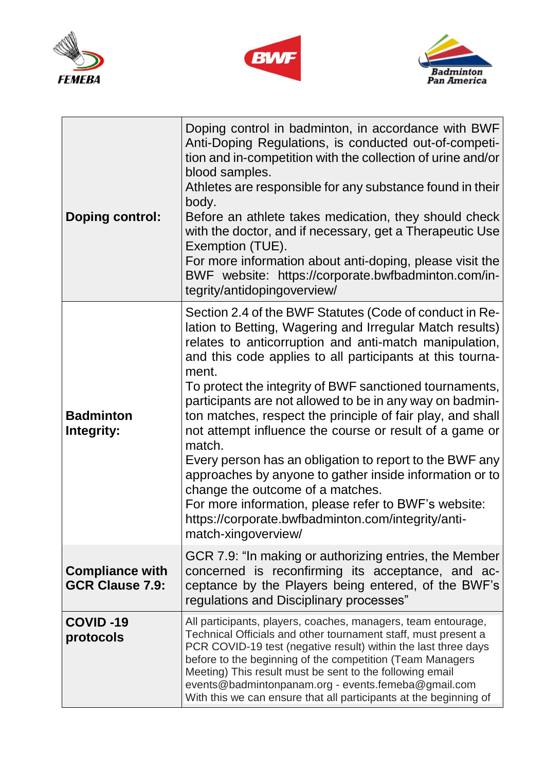





 $\overline{\phantom{a}}$ 

| <b>Doping control:</b>                           | Doping control in badminton, in accordance with BWF<br>Anti-Doping Regulations, is conducted out-of-competi-<br>tion and in-competition with the collection of urine and/or<br>blood samples.<br>Athletes are responsible for any substance found in their<br>body.<br>Before an athlete takes medication, they should check<br>with the doctor, and if necessary, get a Therapeutic Use<br>Exemption (TUE).<br>For more information about anti-doping, please visit the<br>BWF website: https://corporate.bwfbadminton.com/in-<br>tegrity/antidopingoverview/                                                                                                                                                                                                                                               |
|--------------------------------------------------|--------------------------------------------------------------------------------------------------------------------------------------------------------------------------------------------------------------------------------------------------------------------------------------------------------------------------------------------------------------------------------------------------------------------------------------------------------------------------------------------------------------------------------------------------------------------------------------------------------------------------------------------------------------------------------------------------------------------------------------------------------------------------------------------------------------|
| <b>Badminton</b><br>Integrity:                   | Section 2.4 of the BWF Statutes (Code of conduct in Re-<br>lation to Betting, Wagering and Irregular Match results)<br>relates to anticorruption and anti-match manipulation,<br>and this code applies to all participants at this tourna-<br>ment.<br>To protect the integrity of BWF sanctioned tournaments,<br>participants are not allowed to be in any way on badmin-<br>ton matches, respect the principle of fair play, and shall<br>not attempt influence the course or result of a game or<br>match.<br>Every person has an obligation to report to the BWF any<br>approaches by anyone to gather inside information or to<br>change the outcome of a matches.<br>For more information, please refer to BWF's website:<br>https://corporate.bwfbadminton.com/integrity/anti-<br>match-xingoverview/ |
| <b>Compliance with</b><br><b>GCR Clause 7.9:</b> | GCR 7.9: "In making or authorizing entries, the Member<br>concerned is reconfirming its acceptance, and ac-<br>ceptance by the Players being entered, of the BWF's<br>regulations and Disciplinary processes"                                                                                                                                                                                                                                                                                                                                                                                                                                                                                                                                                                                                |
| <b>COVID-19</b><br>protocols                     | All participants, players, coaches, managers, team entourage,<br>Technical Officials and other tournament staff, must present a<br>PCR COVID-19 test (negative result) within the last three days<br>before to the beginning of the competition (Team Managers<br>Meeting) This result must be sent to the following email<br>events@badmintonpanam.org - events.femeba@gmail.com<br>With this we can ensure that all participants at the beginning of                                                                                                                                                                                                                                                                                                                                                       |